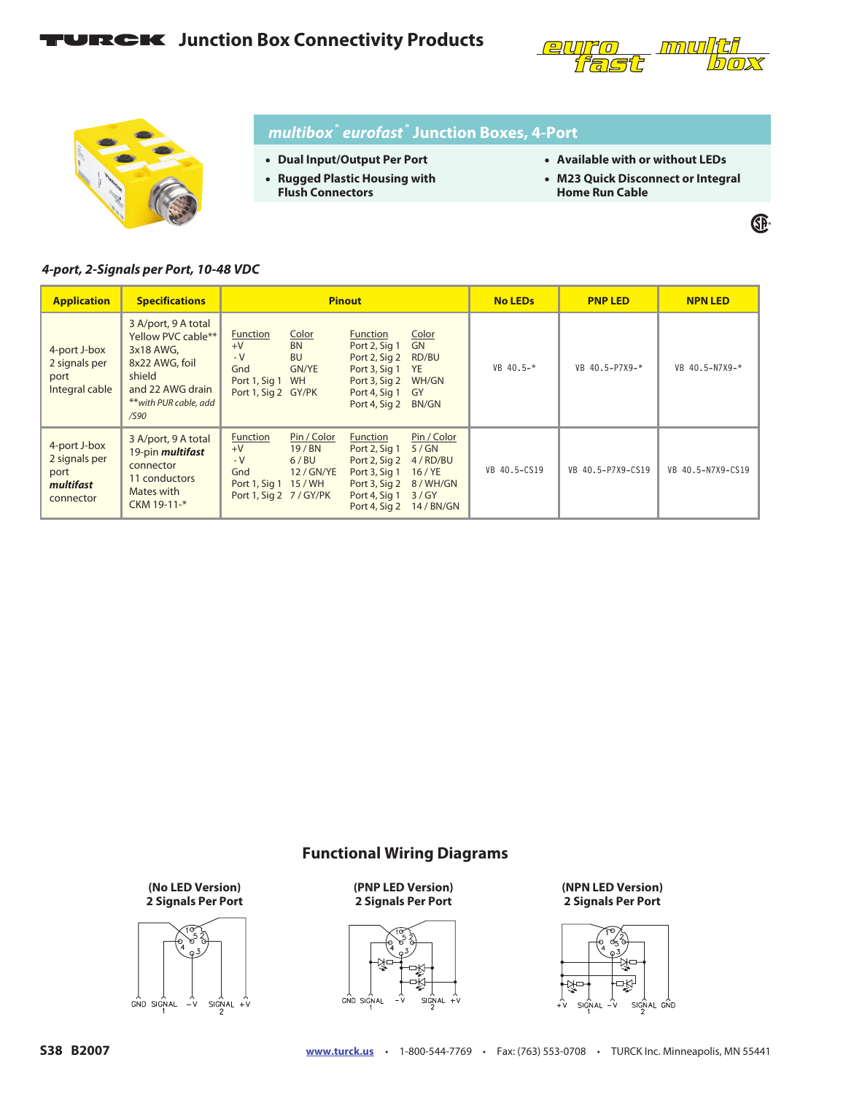## **FURCK** Junction Box Connectivity Products





### *multibox***®** *eurofast* **® Junction Boxes, 4-Port**

- **Dual Input/Output Per Port**
- **Rugged Plastic Housing with**
- **Flush Connectors**
- **Available with or without LEDs**
- **M23 Quick Disconnect or Integral Home Run Cable**

®

### *4-port, 2-Signals per Port, 10-48 VDC*

| <b>Application</b>                                              | <b>Specifications</b>                                                                                                                   | <b>Pinout</b>                                                                                                                     |                                                                                                                                                                                                     | <b>No LEDs</b> | <b>PNP LED</b>    | <b>NPN LED</b>       |
|-----------------------------------------------------------------|-----------------------------------------------------------------------------------------------------------------------------------------|-----------------------------------------------------------------------------------------------------------------------------------|-----------------------------------------------------------------------------------------------------------------------------------------------------------------------------------------------------|----------------|-------------------|----------------------|
| 4-port J-box<br>2 signals per<br>port<br>Integral cable         | 3 A/port, 9 A total<br>Yellow PVC cable**<br>3x18 AWG,<br>8x22 AWG, foil<br>shield<br>and 22 AWG drain<br>**with PUR cable, add<br>/590 | Color<br>Function<br><b>BN</b><br>$+V$<br>$-V$<br><b>BU</b><br>Gnd<br><b>GN/YE</b><br>Port 1, Sig 1 WH<br>Port 1, Sig 2 GY/PK     | Color<br>Function<br>GN<br>Port 2, Sig 1<br>RD/BU<br>Port 2, Sig 2<br>Port 3, Sig 1<br><b>YE</b><br>WH/GN<br>Port 3, Sig 2<br>Port 4, Sig 1<br>GY<br>Port 4, Sig 2<br>BN/GN                         | $VB$ 40.5-*    | VB 40.5-P7X9-*    | VB $40.5 - N7X9 - *$ |
| 4-port J-box<br>2 signals per<br>port<br>multifast<br>connector | 3 A/port, 9 A total<br>19-pin <i>multifast</i><br>connector<br>11 conductors<br>Mates with<br>CKM 19-11-*                               | Pin / Color<br>Function<br>$+V$<br>19/BN<br>$-V$<br>6/BU<br>Gnd<br>12 / GN/YE<br>Port 1, Sig 1 15 / WH<br>Port 1, Sig 2 7 / GY/PK | Pin / Color<br><b>Function</b><br>5/GN<br>Port 2, Sig 1<br>Port 2, Sig 2<br>4/RD/BU<br>Port 3, Sig 1<br>$16$ / YE<br>Port 3, Sig 2<br>8/WH/GN<br>3/GY<br>Port 4, Sig 1<br>14/BN/GN<br>Port 4, Sig 2 | VB 40.5-CS19   | VB 40.5-P7X9-CS19 | VB 40.5-N7X9-CS19    |

### **Functional Wiring Diagrams**

**(No LED Version) 2 Signals Per Port**



**(PNP LED Version) 2 Signals Per Port**



**(NPN LED Version) 2 Signals Per Port**